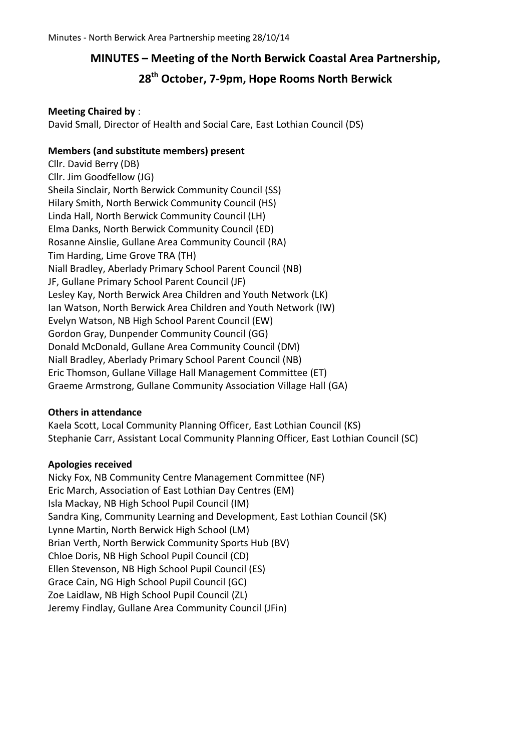### **MINUTES – Meeting of the North Berwick Coastal Area Partnership,**

### **28th October, 7-9pm, Hope Rooms North Berwick**

### **Meeting Chaired by** :

David Small, Director of Health and Social Care, East Lothian Council (DS)

### **Members (and substitute members) present**

Cllr. David Berry (DB) Cllr. Jim Goodfellow (JG) Sheila Sinclair, North Berwick Community Council (SS) Hilary Smith, North Berwick Community Council (HS) Linda Hall, North Berwick Community Council (LH) Elma Danks, North Berwick Community Council (ED) Rosanne Ainslie, Gullane Area Community Council (RA) Tim Harding, Lime Grove TRA (TH) Niall Bradley, Aberlady Primary School Parent Council (NB) JF, Gullane Primary School Parent Council (JF) Lesley Kay, North Berwick Area Children and Youth Network (LK) Ian Watson, North Berwick Area Children and Youth Network (IW) Evelyn Watson, NB High School Parent Council (EW) Gordon Gray, Dunpender Community Council (GG) Donald McDonald, Gullane Area Community Council (DM) Niall Bradley, Aberlady Primary School Parent Council (NB) Eric Thomson, Gullane Village Hall Management Committee (ET) Graeme Armstrong, Gullane Community Association Village Hall (GA)

### **Others in attendance**

Kaela Scott, Local Community Planning Officer, East Lothian Council (KS) Stephanie Carr, Assistant Local Community Planning Officer, East Lothian Council (SC)

### **Apologies received**

Nicky Fox, NB Community Centre Management Committee (NF) Eric March, Association of East Lothian Day Centres (EM) Isla Mackay, NB High School Pupil Council (IM) Sandra King, Community Learning and Development, East Lothian Council (SK) Lynne Martin, North Berwick High School (LM) Brian Verth, North Berwick Community Sports Hub (BV) Chloe Doris, NB High School Pupil Council (CD) Ellen Stevenson, NB High School Pupil Council (ES) Grace Cain, NG High School Pupil Council (GC) Zoe Laidlaw, NB High School Pupil Council (ZL) Jeremy Findlay, Gullane Area Community Council (JFin)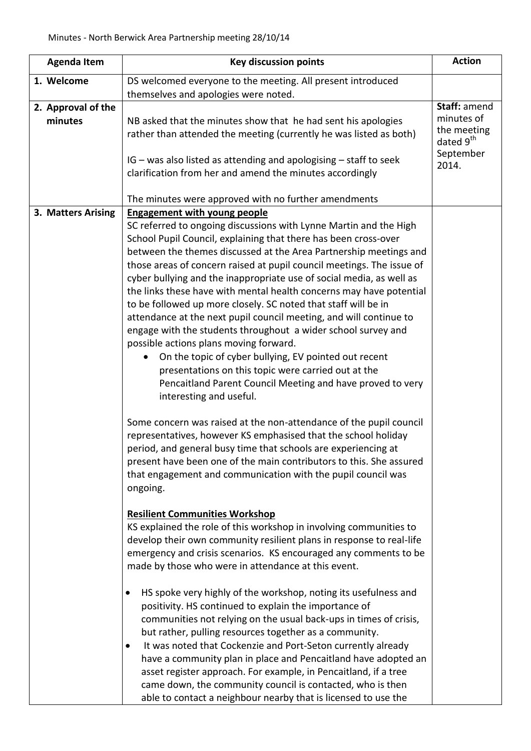| <b>Agenda Item</b>            | <b>Key discussion points</b>                                                                                                                                                                                                                                                                                                                                                                                                                                                                                                                                                                                                                                                                                                                                                                                                                                                                                                                                                                                                                                                                                                                                                                                                | <b>Action</b>                               |
|-------------------------------|-----------------------------------------------------------------------------------------------------------------------------------------------------------------------------------------------------------------------------------------------------------------------------------------------------------------------------------------------------------------------------------------------------------------------------------------------------------------------------------------------------------------------------------------------------------------------------------------------------------------------------------------------------------------------------------------------------------------------------------------------------------------------------------------------------------------------------------------------------------------------------------------------------------------------------------------------------------------------------------------------------------------------------------------------------------------------------------------------------------------------------------------------------------------------------------------------------------------------------|---------------------------------------------|
| 1. Welcome                    | DS welcomed everyone to the meeting. All present introduced                                                                                                                                                                                                                                                                                                                                                                                                                                                                                                                                                                                                                                                                                                                                                                                                                                                                                                                                                                                                                                                                                                                                                                 |                                             |
|                               | themselves and apologies were noted.                                                                                                                                                                                                                                                                                                                                                                                                                                                                                                                                                                                                                                                                                                                                                                                                                                                                                                                                                                                                                                                                                                                                                                                        |                                             |
| 2. Approval of the<br>minutes | NB asked that the minutes show that he had sent his apologies<br>rather than attended the meeting (currently he was listed as both)                                                                                                                                                                                                                                                                                                                                                                                                                                                                                                                                                                                                                                                                                                                                                                                                                                                                                                                                                                                                                                                                                         | Staff: amend<br>minutes of<br>the meeting   |
|                               | IG - was also listed as attending and apologising - staff to seek<br>clarification from her and amend the minutes accordingly                                                                                                                                                                                                                                                                                                                                                                                                                                                                                                                                                                                                                                                                                                                                                                                                                                                                                                                                                                                                                                                                                               | dated 9 <sup>th</sup><br>September<br>2014. |
|                               | The minutes were approved with no further amendments                                                                                                                                                                                                                                                                                                                                                                                                                                                                                                                                                                                                                                                                                                                                                                                                                                                                                                                                                                                                                                                                                                                                                                        |                                             |
| 3. Matters Arising            | <b>Engagement with young people</b><br>SC referred to ongoing discussions with Lynne Martin and the High<br>School Pupil Council, explaining that there has been cross-over<br>between the themes discussed at the Area Partnership meetings and<br>those areas of concern raised at pupil council meetings. The issue of<br>cyber bullying and the inappropriate use of social media, as well as<br>the links these have with mental health concerns may have potential<br>to be followed up more closely. SC noted that staff will be in<br>attendance at the next pupil council meeting, and will continue to<br>engage with the students throughout a wider school survey and<br>possible actions plans moving forward.<br>On the topic of cyber bullying, EV pointed out recent<br>$\bullet$<br>presentations on this topic were carried out at the<br>Pencaitland Parent Council Meeting and have proved to very<br>interesting and useful.                                                                                                                                                                                                                                                                           |                                             |
|                               | Some concern was raised at the non-attendance of the pupil council<br>representatives, however KS emphasised that the school holiday<br>period, and general busy time that schools are experiencing at<br>present have been one of the main contributors to this. She assured<br>that engagement and communication with the pupil council was<br>ongoing.<br><b>Resilient Communities Workshop</b><br>KS explained the role of this workshop in involving communities to<br>develop their own community resilient plans in response to real-life<br>emergency and crisis scenarios. KS encouraged any comments to be<br>made by those who were in attendance at this event.<br>HS spoke very highly of the workshop, noting its usefulness and<br>٠<br>positivity. HS continued to explain the importance of<br>communities not relying on the usual back-ups in times of crisis,<br>but rather, pulling resources together as a community.<br>It was noted that Cockenzie and Port-Seton currently already<br>$\bullet$<br>have a community plan in place and Pencaitland have adopted an<br>asset register approach. For example, in Pencaitland, if a tree<br>came down, the community council is contacted, who is then |                                             |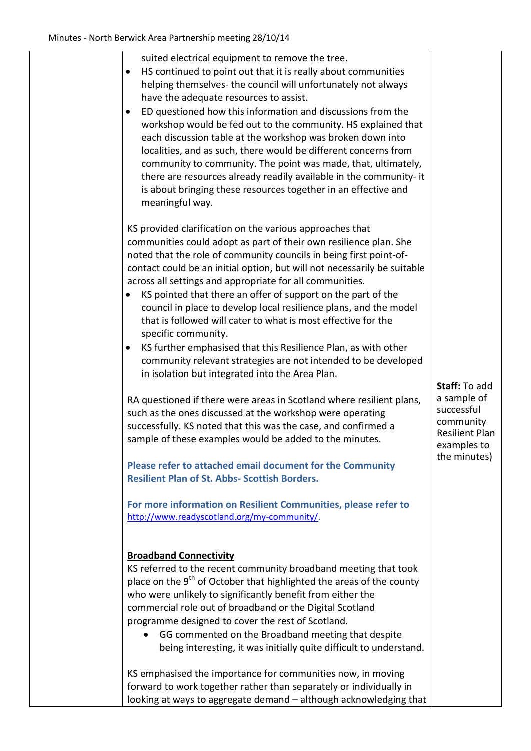| suited electrical equipment to remove the tree.<br>HS continued to point out that it is really about communities<br>helping themselves-the council will unfortunately not always<br>have the adequate resources to assist.<br>ED questioned how this information and discussions from the<br>workshop would be fed out to the community. HS explained that<br>each discussion table at the workshop was broken down into<br>localities, and as such, there would be different concerns from<br>community to community. The point was made, that, ultimately,<br>there are resources already readily available in the community- it<br>is about bringing these resources together in an effective and<br>meaningful way.                                                                                                                                                                                                                                                                                                                                                                                                                                                                                                                                                              |                                                                                                                 |
|--------------------------------------------------------------------------------------------------------------------------------------------------------------------------------------------------------------------------------------------------------------------------------------------------------------------------------------------------------------------------------------------------------------------------------------------------------------------------------------------------------------------------------------------------------------------------------------------------------------------------------------------------------------------------------------------------------------------------------------------------------------------------------------------------------------------------------------------------------------------------------------------------------------------------------------------------------------------------------------------------------------------------------------------------------------------------------------------------------------------------------------------------------------------------------------------------------------------------------------------------------------------------------------|-----------------------------------------------------------------------------------------------------------------|
| KS provided clarification on the various approaches that<br>communities could adopt as part of their own resilience plan. She<br>noted that the role of community councils in being first point-of-<br>contact could be an initial option, but will not necessarily be suitable<br>across all settings and appropriate for all communities.<br>KS pointed that there an offer of support on the part of the<br>council in place to develop local resilience plans, and the model<br>that is followed will cater to what is most effective for the<br>specific community.<br>KS further emphasised that this Resilience Plan, as with other<br>$\bullet$<br>community relevant strategies are not intended to be developed<br>in isolation but integrated into the Area Plan.<br>RA questioned if there were areas in Scotland where resilient plans,<br>such as the ones discussed at the workshop were operating<br>successfully. KS noted that this was the case, and confirmed a<br>sample of these examples would be added to the minutes.<br>Please refer to attached email document for the Community<br><b>Resilient Plan of St. Abbs- Scottish Borders.</b><br>For more information on Resilient Communities, please refer to<br>http://www.readyscotland.org/my-community/. | Staff: To add<br>a sample of<br>successful<br>community<br><b>Resilient Plan</b><br>examples to<br>the minutes) |
| <b>Broadband Connectivity</b><br>KS referred to the recent community broadband meeting that took<br>place on the 9 <sup>th</sup> of October that highlighted the areas of the county<br>who were unlikely to significantly benefit from either the<br>commercial role out of broadband or the Digital Scotland<br>programme designed to cover the rest of Scotland.<br>GG commented on the Broadband meeting that despite<br>being interesting, it was initially quite difficult to understand.<br>KS emphasised the importance for communities now, in moving<br>forward to work together rather than separately or individually in<br>looking at ways to aggregate demand - although acknowledging that                                                                                                                                                                                                                                                                                                                                                                                                                                                                                                                                                                            |                                                                                                                 |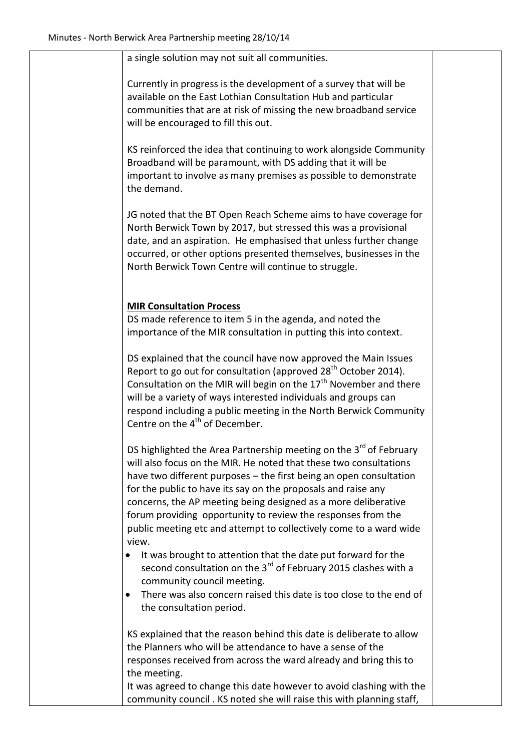| a single solution may not suit all communities.<br>Currently in progress is the development of a survey that will be<br>available on the East Lothian Consultation Hub and particular<br>communities that are at risk of missing the new broadband service<br>will be encouraged to fill this out.                                                                                                                                                                                                          |  |
|-------------------------------------------------------------------------------------------------------------------------------------------------------------------------------------------------------------------------------------------------------------------------------------------------------------------------------------------------------------------------------------------------------------------------------------------------------------------------------------------------------------|--|
|                                                                                                                                                                                                                                                                                                                                                                                                                                                                                                             |  |
|                                                                                                                                                                                                                                                                                                                                                                                                                                                                                                             |  |
| KS reinforced the idea that continuing to work alongside Community<br>Broadband will be paramount, with DS adding that it will be<br>important to involve as many premises as possible to demonstrate<br>the demand.                                                                                                                                                                                                                                                                                        |  |
| JG noted that the BT Open Reach Scheme aims to have coverage for<br>North Berwick Town by 2017, but stressed this was a provisional<br>date, and an aspiration. He emphasised that unless further change<br>occurred, or other options presented themselves, businesses in the<br>North Berwick Town Centre will continue to struggle.                                                                                                                                                                      |  |
|                                                                                                                                                                                                                                                                                                                                                                                                                                                                                                             |  |
| <b>MIR Consultation Process</b><br>DS made reference to item 5 in the agenda, and noted the<br>importance of the MIR consultation in putting this into context.                                                                                                                                                                                                                                                                                                                                             |  |
| DS explained that the council have now approved the Main Issues<br>Report to go out for consultation (approved 28 <sup>th</sup> October 2014).<br>Consultation on the MIR will begin on the 17 <sup>th</sup> November and there<br>will be a variety of ways interested individuals and groups can<br>respond including a public meeting in the North Berwick Community<br>Centre on the 4 <sup>th</sup> of December.                                                                                       |  |
| DS highlighted the Area Partnership meeting on the 3 <sup>rd</sup> of February<br>will also focus on the MIR. He noted that these two consultations<br>have two different purposes - the first being an open consultation<br>for the public to have its say on the proposals and raise any<br>concerns, the AP meeting being designed as a more deliberative<br>forum providing opportunity to review the responses from the<br>public meeting etc and attempt to collectively come to a ward wide<br>view. |  |
| It was brought to attention that the date put forward for the<br>second consultation on the 3 <sup>rd</sup> of February 2015 clashes with a<br>community council meeting.<br>There was also concern raised this date is too close to the end of<br>the consultation period.                                                                                                                                                                                                                                 |  |
| KS explained that the reason behind this date is deliberate to allow<br>the Planners who will be attendance to have a sense of the<br>responses received from across the ward already and bring this to<br>the meeting.                                                                                                                                                                                                                                                                                     |  |
| It was agreed to change this date however to avoid clashing with the<br>community council. KS noted she will raise this with planning staff,                                                                                                                                                                                                                                                                                                                                                                |  |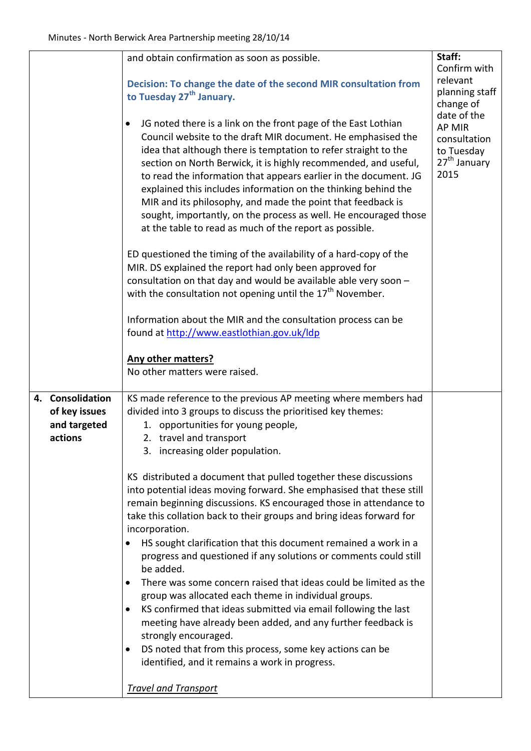|                                                                               |                         | and obtain confirmation as soon as possible.<br>Decision: To change the date of the second MIR consultation from<br>to Tuesday 27 <sup>th</sup> January.<br>JG noted there is a link on the front page of the East Lothian<br>$\bullet$<br>Council website to the draft MIR document. He emphasised the<br>idea that although there is temptation to refer straight to the<br>section on North Berwick, it is highly recommended, and useful,<br>to read the information that appears earlier in the document. JG<br>explained this includes information on the thinking behind the<br>MIR and its philosophy, and made the point that feedback is<br>sought, importantly, on the process as well. He encouraged those<br>at the table to read as much of the report as possible.<br>ED questioned the timing of the availability of a hard-copy of the<br>MIR. DS explained the report had only been approved for<br>consultation on that day and would be available able very soon -<br>with the consultation not opening until the 17 <sup>th</sup> November. | Staff:<br>Confirm with<br>relevant<br>planning staff<br>change of<br>date of the<br><b>AP MIR</b><br>consultation<br>to Tuesday<br>27 <sup>th</sup> January<br>2015 |  |
|-------------------------------------------------------------------------------|-------------------------|------------------------------------------------------------------------------------------------------------------------------------------------------------------------------------------------------------------------------------------------------------------------------------------------------------------------------------------------------------------------------------------------------------------------------------------------------------------------------------------------------------------------------------------------------------------------------------------------------------------------------------------------------------------------------------------------------------------------------------------------------------------------------------------------------------------------------------------------------------------------------------------------------------------------------------------------------------------------------------------------------------------------------------------------------------------|---------------------------------------------------------------------------------------------------------------------------------------------------------------------|--|
|                                                                               |                         | Information about the MIR and the consultation process can be<br>found at http://www.eastlothian.gov.uk/ldp<br><b>Any other matters?</b><br>No other matters were raised.                                                                                                                                                                                                                                                                                                                                                                                                                                                                                                                                                                                                                                                                                                                                                                                                                                                                                        |                                                                                                                                                                     |  |
|                                                                               |                         |                                                                                                                                                                                                                                                                                                                                                                                                                                                                                                                                                                                                                                                                                                                                                                                                                                                                                                                                                                                                                                                                  |                                                                                                                                                                     |  |
|                                                                               | 4. Consolidation        | KS made reference to the previous AP meeting where members had                                                                                                                                                                                                                                                                                                                                                                                                                                                                                                                                                                                                                                                                                                                                                                                                                                                                                                                                                                                                   |                                                                                                                                                                     |  |
| divided into 3 groups to discuss the prioritised key themes:<br>of key issues |                         |                                                                                                                                                                                                                                                                                                                                                                                                                                                                                                                                                                                                                                                                                                                                                                                                                                                                                                                                                                                                                                                                  |                                                                                                                                                                     |  |
|                                                                               | and targeted<br>actions | 1. opportunities for young people,<br>2. travel and transport                                                                                                                                                                                                                                                                                                                                                                                                                                                                                                                                                                                                                                                                                                                                                                                                                                                                                                                                                                                                    |                                                                                                                                                                     |  |
|                                                                               |                         | 3. increasing older population.                                                                                                                                                                                                                                                                                                                                                                                                                                                                                                                                                                                                                                                                                                                                                                                                                                                                                                                                                                                                                                  |                                                                                                                                                                     |  |
|                                                                               |                         |                                                                                                                                                                                                                                                                                                                                                                                                                                                                                                                                                                                                                                                                                                                                                                                                                                                                                                                                                                                                                                                                  |                                                                                                                                                                     |  |
|                                                                               |                         | KS distributed a document that pulled together these discussions                                                                                                                                                                                                                                                                                                                                                                                                                                                                                                                                                                                                                                                                                                                                                                                                                                                                                                                                                                                                 |                                                                                                                                                                     |  |
|                                                                               |                         | into potential ideas moving forward. She emphasised that these still                                                                                                                                                                                                                                                                                                                                                                                                                                                                                                                                                                                                                                                                                                                                                                                                                                                                                                                                                                                             |                                                                                                                                                                     |  |
|                                                                               |                         | remain beginning discussions. KS encouraged those in attendance to                                                                                                                                                                                                                                                                                                                                                                                                                                                                                                                                                                                                                                                                                                                                                                                                                                                                                                                                                                                               |                                                                                                                                                                     |  |
|                                                                               |                         | take this collation back to their groups and bring ideas forward for                                                                                                                                                                                                                                                                                                                                                                                                                                                                                                                                                                                                                                                                                                                                                                                                                                                                                                                                                                                             |                                                                                                                                                                     |  |
|                                                                               |                         | incorporation.                                                                                                                                                                                                                                                                                                                                                                                                                                                                                                                                                                                                                                                                                                                                                                                                                                                                                                                                                                                                                                                   |                                                                                                                                                                     |  |
|                                                                               |                         | HS sought clarification that this document remained a work in a<br>$\bullet$<br>progress and questioned if any solutions or comments could still<br>be added.                                                                                                                                                                                                                                                                                                                                                                                                                                                                                                                                                                                                                                                                                                                                                                                                                                                                                                    |                                                                                                                                                                     |  |
|                                                                               |                         | There was some concern raised that ideas could be limited as the<br>$\bullet$                                                                                                                                                                                                                                                                                                                                                                                                                                                                                                                                                                                                                                                                                                                                                                                                                                                                                                                                                                                    |                                                                                                                                                                     |  |
|                                                                               |                         | group was allocated each theme in individual groups.                                                                                                                                                                                                                                                                                                                                                                                                                                                                                                                                                                                                                                                                                                                                                                                                                                                                                                                                                                                                             |                                                                                                                                                                     |  |
|                                                                               |                         | KS confirmed that ideas submitted via email following the last<br>٠                                                                                                                                                                                                                                                                                                                                                                                                                                                                                                                                                                                                                                                                                                                                                                                                                                                                                                                                                                                              |                                                                                                                                                                     |  |
|                                                                               |                         | meeting have already been added, and any further feedback is                                                                                                                                                                                                                                                                                                                                                                                                                                                                                                                                                                                                                                                                                                                                                                                                                                                                                                                                                                                                     |                                                                                                                                                                     |  |
|                                                                               |                         | strongly encouraged.<br>DS noted that from this process, some key actions can be<br>$\bullet$                                                                                                                                                                                                                                                                                                                                                                                                                                                                                                                                                                                                                                                                                                                                                                                                                                                                                                                                                                    |                                                                                                                                                                     |  |
|                                                                               |                         | identified, and it remains a work in progress.                                                                                                                                                                                                                                                                                                                                                                                                                                                                                                                                                                                                                                                                                                                                                                                                                                                                                                                                                                                                                   |                                                                                                                                                                     |  |
|                                                                               |                         |                                                                                                                                                                                                                                                                                                                                                                                                                                                                                                                                                                                                                                                                                                                                                                                                                                                                                                                                                                                                                                                                  |                                                                                                                                                                     |  |
|                                                                               |                         | <b>Travel and Transport</b>                                                                                                                                                                                                                                                                                                                                                                                                                                                                                                                                                                                                                                                                                                                                                                                                                                                                                                                                                                                                                                      |                                                                                                                                                                     |  |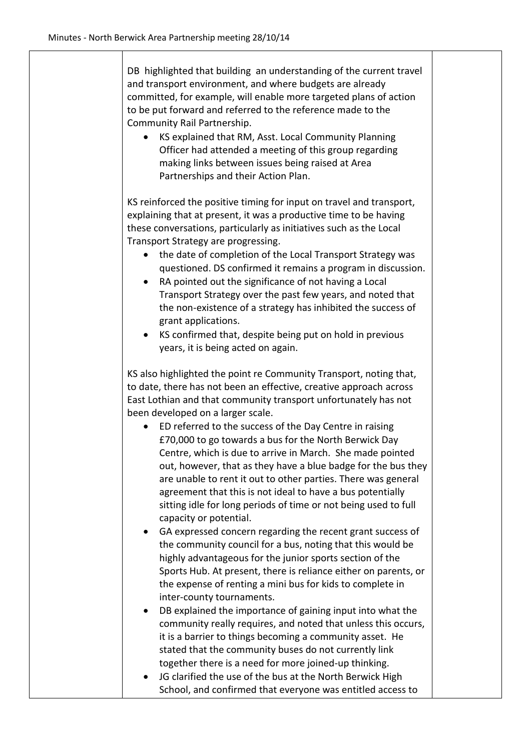| DB highlighted that building an understanding of the current travel<br>and transport environment, and where budgets are already<br>committed, for example, will enable more targeted plans of action<br>to be put forward and referred to the reference made to the<br>Community Rail Partnership.<br>KS explained that RM, Asst. Local Community Planning<br>Officer had attended a meeting of this group regarding<br>making links between issues being raised at Area<br>Partnerships and their Action Plan.                                                                                                                                                                                                                                                                           |  |
|-------------------------------------------------------------------------------------------------------------------------------------------------------------------------------------------------------------------------------------------------------------------------------------------------------------------------------------------------------------------------------------------------------------------------------------------------------------------------------------------------------------------------------------------------------------------------------------------------------------------------------------------------------------------------------------------------------------------------------------------------------------------------------------------|--|
| KS reinforced the positive timing for input on travel and transport,<br>explaining that at present, it was a productive time to be having<br>these conversations, particularly as initiatives such as the Local<br>Transport Strategy are progressing.<br>the date of completion of the Local Transport Strategy was<br>$\bullet$<br>questioned. DS confirmed it remains a program in discussion.<br>RA pointed out the significance of not having a Local<br>$\bullet$<br>Transport Strategy over the past few years, and noted that<br>the non-existence of a strategy has inhibited the success of<br>grant applications.<br>KS confirmed that, despite being put on hold in previous<br>$\bullet$<br>years, it is being acted on again.                                               |  |
| KS also highlighted the point re Community Transport, noting that,<br>to date, there has not been an effective, creative approach across<br>East Lothian and that community transport unfortunately has not<br>been developed on a larger scale.<br>ED referred to the success of the Day Centre in raising<br>£70,000 to go towards a bus for the North Berwick Day<br>Centre, which is due to arrive in March. She made pointed<br>out, however, that as they have a blue badge for the bus they<br>are unable to rent it out to other parties. There was general<br>agreement that this is not ideal to have a bus potentially<br>sitting idle for long periods of time or not being used to full<br>capacity or potential.                                                            |  |
| GA expressed concern regarding the recent grant success of<br>the community council for a bus, noting that this would be<br>highly advantageous for the junior sports section of the<br>Sports Hub. At present, there is reliance either on parents, or<br>the expense of renting a mini bus for kids to complete in<br>inter-county tournaments.<br>DB explained the importance of gaining input into what the<br>community really requires, and noted that unless this occurs,<br>it is a barrier to things becoming a community asset. He<br>stated that the community buses do not currently link<br>together there is a need for more joined-up thinking.<br>JG clarified the use of the bus at the North Berwick High<br>School, and confirmed that everyone was entitled access to |  |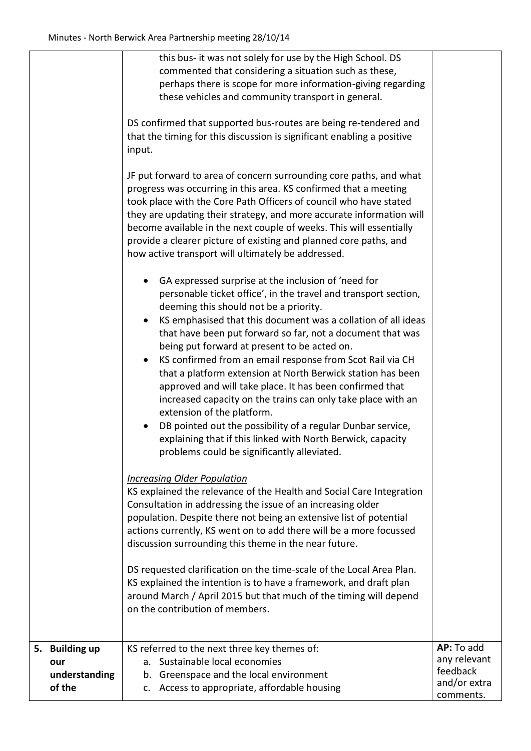|                                                  | this bus- it was not solely for use by the High School. DS<br>commented that considering a situation such as these,<br>perhaps there is scope for more information-giving regarding<br>these vehicles and community transport in general.                                                                                                                                                                                                                                                                                                                                                                                                                                                                                      |                                                                     |
|--------------------------------------------------|--------------------------------------------------------------------------------------------------------------------------------------------------------------------------------------------------------------------------------------------------------------------------------------------------------------------------------------------------------------------------------------------------------------------------------------------------------------------------------------------------------------------------------------------------------------------------------------------------------------------------------------------------------------------------------------------------------------------------------|---------------------------------------------------------------------|
|                                                  | DS confirmed that supported bus-routes are being re-tendered and<br>that the timing for this discussion is significant enabling a positive<br>input.                                                                                                                                                                                                                                                                                                                                                                                                                                                                                                                                                                           |                                                                     |
|                                                  | JF put forward to area of concern surrounding core paths, and what<br>progress was occurring in this area. KS confirmed that a meeting<br>took place with the Core Path Officers of council who have stated<br>they are updating their strategy, and more accurate information will<br>become available in the next couple of weeks. This will essentially<br>provide a clearer picture of existing and planned core paths, and<br>how active transport will ultimately be addressed.                                                                                                                                                                                                                                          |                                                                     |
|                                                  | GA expressed surprise at the inclusion of 'need for<br>personable ticket office', in the travel and transport section,<br>deeming this should not be a priority.<br>KS emphasised that this document was a collation of all ideas<br>$\bullet$<br>that have been put forward so far, not a document that was<br>being put forward at present to be acted on.<br>KS confirmed from an email response from Scot Rail via CH<br>$\bullet$<br>that a platform extension at North Berwick station has been<br>approved and will take place. It has been confirmed that<br>increased capacity on the trains can only take place with an<br>extension of the platform.<br>DB pointed out the possibility of a regular Dunbar service, |                                                                     |
|                                                  | explaining that if this linked with North Berwick, capacity<br>problems could be significantly alleviated.<br><b>Increasing Older Population</b><br>KS explained the relevance of the Health and Social Care Integration<br>Consultation in addressing the issue of an increasing older<br>population. Despite there not being an extensive list of potential<br>actions currently, KS went on to add there will be a more focussed<br>discussion surrounding this theme in the near future.                                                                                                                                                                                                                                   |                                                                     |
|                                                  | DS requested clarification on the time-scale of the Local Area Plan.<br>KS explained the intention is to have a framework, and draft plan<br>around March / April 2015 but that much of the timing will depend<br>on the contribution of members.                                                                                                                                                                                                                                                                                                                                                                                                                                                                              |                                                                     |
| 5. Building up<br>our<br>understanding<br>of the | KS referred to the next three key themes of:<br>Sustainable local economies<br>а.<br>Greenspace and the local environment<br>b.<br>c. Access to appropriate, affordable housing                                                                                                                                                                                                                                                                                                                                                                                                                                                                                                                                                | AP: To add<br>any relevant<br>feedback<br>and/or extra<br>comments. |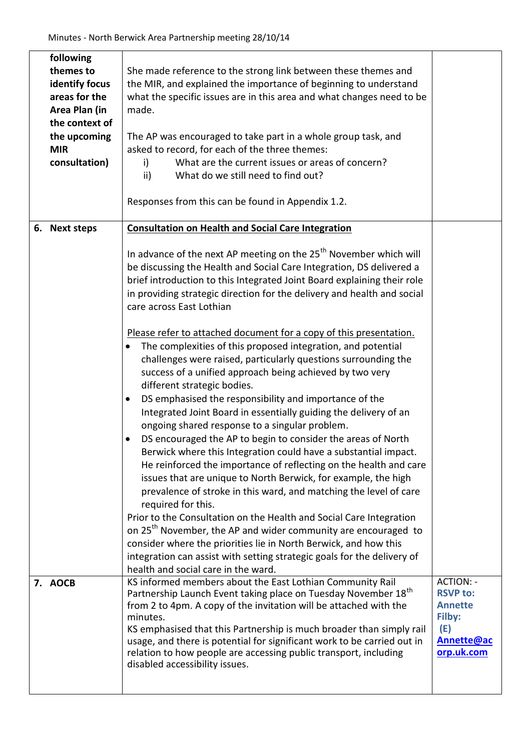|               | following<br>themes to<br>identify focus<br>areas for the<br>Area Plan (in<br>the context of<br>the upcoming<br><b>MIR</b><br>consultation) | She made reference to the strong link between these themes and<br>the MIR, and explained the importance of beginning to understand<br>what the specific issues are in this area and what changes need to be<br>made.<br>The AP was encouraged to take part in a whole group task, and<br>asked to record, for each of the three themes:<br>What are the current issues or areas of concern?<br>i)<br>What do we still need to find out?<br>ii)<br>Responses from this can be found in Appendix 1.2.                                                                                                                                                                                                                                                                                                                                                                                                                                                                                                                                                                                                                                                                                                                                                                                                                                                                                                                                                                                                                                                                        |                                                                                                           |
|---------------|---------------------------------------------------------------------------------------------------------------------------------------------|----------------------------------------------------------------------------------------------------------------------------------------------------------------------------------------------------------------------------------------------------------------------------------------------------------------------------------------------------------------------------------------------------------------------------------------------------------------------------------------------------------------------------------------------------------------------------------------------------------------------------------------------------------------------------------------------------------------------------------------------------------------------------------------------------------------------------------------------------------------------------------------------------------------------------------------------------------------------------------------------------------------------------------------------------------------------------------------------------------------------------------------------------------------------------------------------------------------------------------------------------------------------------------------------------------------------------------------------------------------------------------------------------------------------------------------------------------------------------------------------------------------------------------------------------------------------------|-----------------------------------------------------------------------------------------------------------|
| 6. Next steps |                                                                                                                                             | <b>Consultation on Health and Social Care Integration</b><br>In advance of the next AP meeting on the 25 <sup>th</sup> November which will<br>be discussing the Health and Social Care Integration, DS delivered a<br>brief introduction to this Integrated Joint Board explaining their role<br>in providing strategic direction for the delivery and health and social<br>care across East Lothian<br>Please refer to attached document for a copy of this presentation.<br>The complexities of this proposed integration, and potential<br>challenges were raised, particularly questions surrounding the<br>success of a unified approach being achieved by two very<br>different strategic bodies.<br>DS emphasised the responsibility and importance of the<br>٠<br>Integrated Joint Board in essentially guiding the delivery of an<br>ongoing shared response to a singular problem.<br>DS encouraged the AP to begin to consider the areas of North<br>٠<br>Berwick where this Integration could have a substantial impact.<br>He reinforced the importance of reflecting on the health and care<br>issues that are unique to North Berwick, for example, the high<br>prevalence of stroke in this ward, and matching the level of care<br>required for this.<br>Prior to the Consultation on the Health and Social Care Integration<br>on 25 <sup>th</sup> November, the AP and wider community are encouraged to<br>consider where the priorities lie in North Berwick, and how this<br>integration can assist with setting strategic goals for the delivery of |                                                                                                           |
|               | 7. AOCB                                                                                                                                     | KS informed members about the East Lothian Community Rail<br>Partnership Launch Event taking place on Tuesday November 18 <sup>th</sup><br>from 2 to 4pm. A copy of the invitation will be attached with the<br>minutes.<br>KS emphasised that this Partnership is much broader than simply rail<br>usage, and there is potential for significant work to be carried out in<br>relation to how people are accessing public transport, including<br>disabled accessibility issues.                                                                                                                                                                                                                                                                                                                                                                                                                                                                                                                                                                                                                                                                                                                                                                                                                                                                                                                                                                                                                                                                                          | <b>ACTION: -</b><br><b>RSVP to:</b><br><b>Annette</b><br>Filby:<br>(E)<br><b>Annette@ac</b><br>orp.uk.com |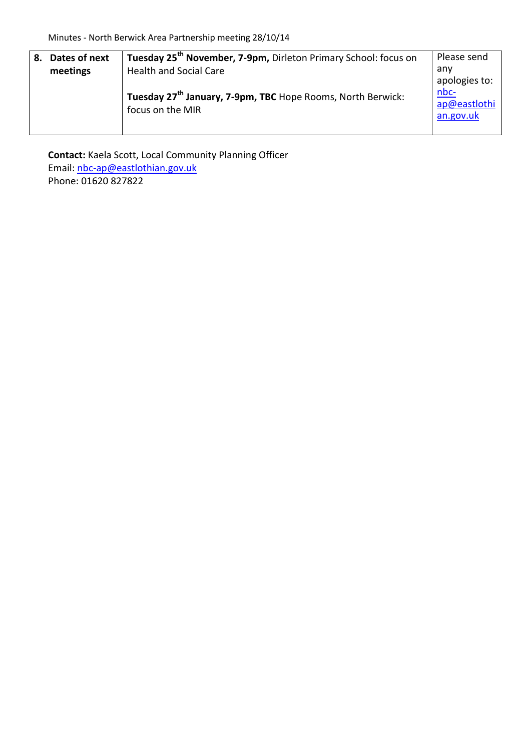| 8. | Dates of next                                                           | Tuesday 25 <sup>th</sup> November, 7-9pm, Dirleton Primary School: focus on | Please send          |
|----|-------------------------------------------------------------------------|-----------------------------------------------------------------------------|----------------------|
|    | meetings                                                                | <b>Health and Social Care</b>                                               | anv                  |
|    |                                                                         |                                                                             | apologies to:        |
|    | Tuesday 27 <sup>th</sup> January, 7-9pm, TBC Hope Rooms, North Berwick: |                                                                             | nbc-<br>ap@eastlothi |
|    |                                                                         | focus on the MIR                                                            | an.gov.uk            |
|    |                                                                         |                                                                             |                      |

**Contact:** Kaela Scott, Local Community Planning Officer Email: [nbc-ap@eastlothian.gov.uk](mailto:nbc-ap@eastlothian.gov.uk) Phone: 01620 827822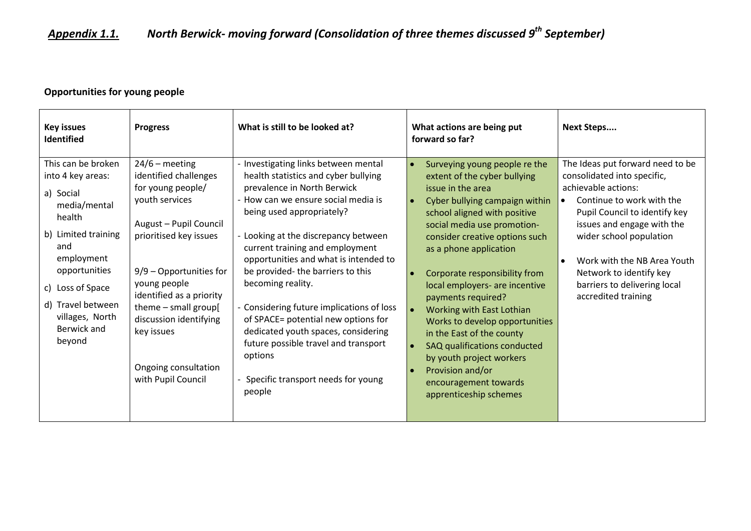# *Appendix 1.1. North Berwick- moving forward (Consolidation of three themes discussed 9th September)*

### **Opportunities for young people**

| <b>Key issues</b><br>Identified                                                                                                                                                                                                  | <b>Progress</b>                                                                                                                                                                                                                                                                                                             | What is still to be looked at?                                                                                                                                                                                                                                                                                                                                                                                                                                                                                                                                                              | What actions are being put<br>forward so far?                                                                                                                                                                                                                                                                                                                                                                                                                                                                                                                           | <b>Next Steps</b>                                                                                                                                                                                                                                                                                                              |
|----------------------------------------------------------------------------------------------------------------------------------------------------------------------------------------------------------------------------------|-----------------------------------------------------------------------------------------------------------------------------------------------------------------------------------------------------------------------------------------------------------------------------------------------------------------------------|---------------------------------------------------------------------------------------------------------------------------------------------------------------------------------------------------------------------------------------------------------------------------------------------------------------------------------------------------------------------------------------------------------------------------------------------------------------------------------------------------------------------------------------------------------------------------------------------|-------------------------------------------------------------------------------------------------------------------------------------------------------------------------------------------------------------------------------------------------------------------------------------------------------------------------------------------------------------------------------------------------------------------------------------------------------------------------------------------------------------------------------------------------------------------------|--------------------------------------------------------------------------------------------------------------------------------------------------------------------------------------------------------------------------------------------------------------------------------------------------------------------------------|
| This can be broken<br>into 4 key areas:<br>a) Social<br>media/mental<br>health<br>b) Limited training<br>and<br>employment<br>opportunities<br>c) Loss of Space<br>d) Travel between<br>villages, North<br>Berwick and<br>beyond | $24/6$ – meeting<br>identified challenges<br>for young people/<br>youth services<br>August - Pupil Council<br>prioritised key issues<br>$9/9$ – Opportunities for<br>young people<br>identified as a priority<br>theme - small group[<br>discussion identifying<br>key issues<br>Ongoing consultation<br>with Pupil Council | - Investigating links between mental<br>health statistics and cyber bullying<br>prevalence in North Berwick<br>- How can we ensure social media is<br>being used appropriately?<br>- Looking at the discrepancy between<br>current training and employment<br>opportunities and what is intended to<br>be provided- the barriers to this<br>becoming reality.<br>- Considering future implications of loss<br>of SPACE= potential new options for<br>dedicated youth spaces, considering<br>future possible travel and transport<br>options<br>Specific transport needs for young<br>people | Surveying young people re the<br>extent of the cyber bullying<br>issue in the area<br>Cyber bullying campaign within<br>school aligned with positive<br>social media use promotion-<br>consider creative options such<br>as a phone application<br>Corporate responsibility from<br>local employers- are incentive<br>payments required?<br>Working with East Lothian<br>Works to develop opportunities<br>in the East of the county<br>SAQ qualifications conducted<br>by youth project workers<br>Provision and/or<br>encouragement towards<br>apprenticeship schemes | The Ideas put forward need to be<br>consolidated into specific,<br>achievable actions:<br>Continue to work with the<br>Pupil Council to identify key<br>issues and engage with the<br>wider school population<br>Work with the NB Area Youth<br>Network to identify key<br>barriers to delivering local<br>accredited training |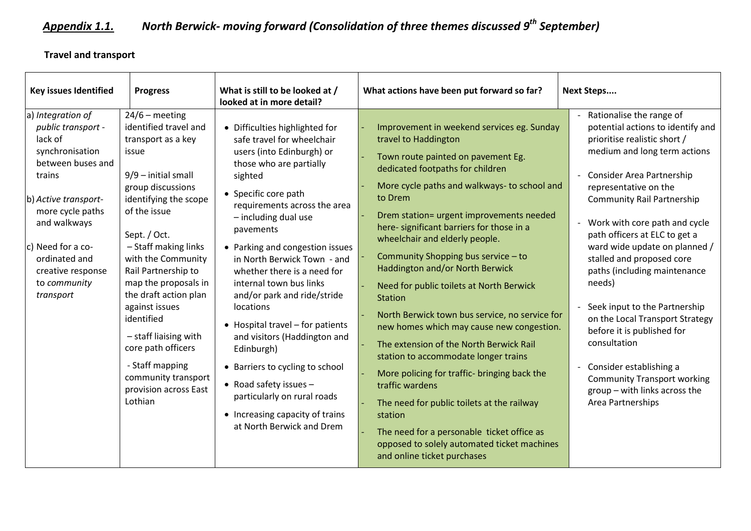# *Appendix 1.1. North Berwick- moving forward (Consolidation of three themes discussed 9th September)*

## **Travel and transport**

| <b>Key issues Identified</b>                                                                                                                                                                                                                             | <b>Progress</b>                                                                                                                                                                                                                                                                                                                                                                                                                                                      | What is still to be looked at /<br>looked at in more detail?                                                                                                                                                                                                                                                                                                                                                                                                                                                                                                                                                                                         | What actions have been put forward so far?                                                                                                                                                                                                                                                                                                                                                                                                                                                                                                                                                                                                                                                                                                                                                                                                                                                                           | <b>Next Steps</b>                                                                                                                                                                                                                                                                                                                                                                                                                                                                                                                                                                                                                           |
|----------------------------------------------------------------------------------------------------------------------------------------------------------------------------------------------------------------------------------------------------------|----------------------------------------------------------------------------------------------------------------------------------------------------------------------------------------------------------------------------------------------------------------------------------------------------------------------------------------------------------------------------------------------------------------------------------------------------------------------|------------------------------------------------------------------------------------------------------------------------------------------------------------------------------------------------------------------------------------------------------------------------------------------------------------------------------------------------------------------------------------------------------------------------------------------------------------------------------------------------------------------------------------------------------------------------------------------------------------------------------------------------------|----------------------------------------------------------------------------------------------------------------------------------------------------------------------------------------------------------------------------------------------------------------------------------------------------------------------------------------------------------------------------------------------------------------------------------------------------------------------------------------------------------------------------------------------------------------------------------------------------------------------------------------------------------------------------------------------------------------------------------------------------------------------------------------------------------------------------------------------------------------------------------------------------------------------|---------------------------------------------------------------------------------------------------------------------------------------------------------------------------------------------------------------------------------------------------------------------------------------------------------------------------------------------------------------------------------------------------------------------------------------------------------------------------------------------------------------------------------------------------------------------------------------------------------------------------------------------|
| a) Integration of<br>public transport -<br>lack of<br>synchronisation<br>between buses and<br>trains<br>b) Active transport-<br>more cycle paths<br>and walkways<br>c) Need for a co-<br>ordinated and<br>creative response<br>to community<br>transport | $24/6$ – meeting<br>identified travel and<br>transport as a key<br>issue<br>$9/9$ – initial small<br>group discussions<br>identifying the scope<br>of the issue<br>Sept. / Oct.<br>- Staff making links<br>with the Community<br>Rail Partnership to<br>map the proposals in<br>the draft action plan<br>against issues<br>identified<br>$-$ staff liaising with<br>core path officers<br>- Staff mapping<br>community transport<br>provision across East<br>Lothian | • Difficulties highlighted for<br>safe travel for wheelchair<br>users (into Edinburgh) or<br>those who are partially<br>sighted<br>• Specific core path<br>requirements across the area<br>- including dual use<br>pavements<br>• Parking and congestion issues<br>in North Berwick Town - and<br>whether there is a need for<br>internal town bus links<br>and/or park and ride/stride<br>locations<br>• Hospital travel - for patients<br>and visitors (Haddington and<br>Edinburgh)<br>• Barriers to cycling to school<br>• Road safety issues $-$<br>particularly on rural roads<br>• Increasing capacity of trains<br>at North Berwick and Drem | Improvement in weekend services eg. Sunday<br>travel to Haddington<br>Town route painted on pavement Eg.<br>dedicated footpaths for children<br>More cycle paths and walkways- to school and<br>to Drem<br>Drem station= urgent improvements needed<br>here- significant barriers for those in a<br>wheelchair and elderly people.<br>Community Shopping bus service - to<br>Haddington and/or North Berwick<br>Need for public toilets at North Berwick<br><b>Station</b><br>North Berwick town bus service, no service for<br>new homes which may cause new congestion.<br>The extension of the North Berwick Rail<br>station to accommodate longer trains<br>More policing for traffic- bringing back the<br>traffic wardens<br>The need for public toilets at the railway<br>station<br>The need for a personable ticket office as<br>opposed to solely automated ticket machines<br>and online ticket purchases | Rationalise the range of<br>potential actions to identify and<br>prioritise realistic short /<br>medium and long term actions<br>Consider Area Partnership<br>representative on the<br><b>Community Rail Partnership</b><br>Work with core path and cycle<br>path officers at ELC to get a<br>ward wide update on planned /<br>stalled and proposed core<br>paths (including maintenance<br>needs)<br>Seek input to the Partnership<br>on the Local Transport Strategy<br>before it is published for<br>consultation<br>Consider establishing a<br><b>Community Transport working</b><br>group - with links across the<br>Area Partnerships |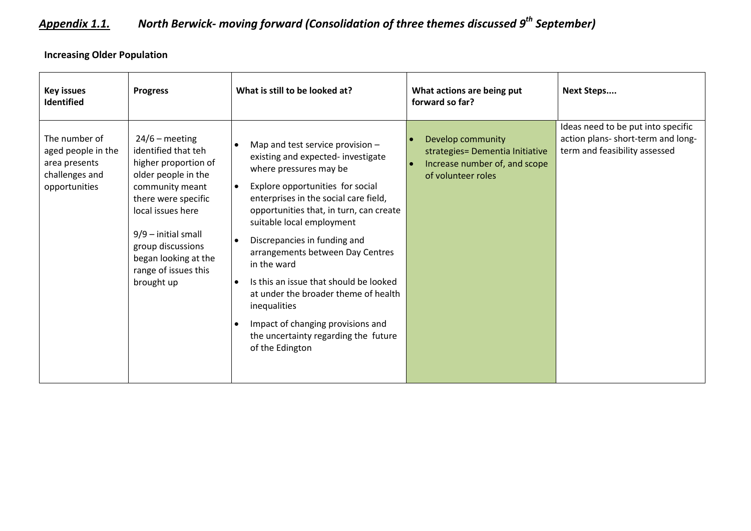# *Appendix 1.1. North Berwick- moving forward (Consolidation of three themes discussed 9th September)*

**Increasing Older Population**

| <b>Key issues</b><br><b>Identified</b>                                                  | <b>Progress</b>                                                                                                                                                                                                                                                   | What is still to be looked at?                                                                                                                                                                                                                                                                                                                                                                                                                                                                                                                                       | What actions are being put<br>forward so far?                                                               | <b>Next Steps</b>                                                                                         |
|-----------------------------------------------------------------------------------------|-------------------------------------------------------------------------------------------------------------------------------------------------------------------------------------------------------------------------------------------------------------------|----------------------------------------------------------------------------------------------------------------------------------------------------------------------------------------------------------------------------------------------------------------------------------------------------------------------------------------------------------------------------------------------------------------------------------------------------------------------------------------------------------------------------------------------------------------------|-------------------------------------------------------------------------------------------------------------|-----------------------------------------------------------------------------------------------------------|
| The number of<br>aged people in the<br>area presents<br>challenges and<br>opportunities | $24/6$ – meeting<br>identified that teh<br>higher proportion of<br>older people in the<br>community meant<br>there were specific<br>local issues here<br>$9/9$ – initial small<br>group discussions<br>began looking at the<br>range of issues this<br>brought up | Map and test service provision -<br>existing and expected- investigate<br>where pressures may be<br>Explore opportunities for social<br>$\bullet$<br>enterprises in the social care field,<br>opportunities that, in turn, can create<br>suitable local employment<br>Discrepancies in funding and<br>arrangements between Day Centres<br>in the ward<br>Is this an issue that should be looked<br>$\bullet$<br>at under the broader theme of health<br>inequalities<br>Impact of changing provisions and<br>the uncertainty regarding the future<br>of the Edington | Develop community<br>strategies= Dementia Initiative<br>Increase number of, and scope<br>of volunteer roles | Ideas need to be put into specific<br>action plans- short-term and long-<br>term and feasibility assessed |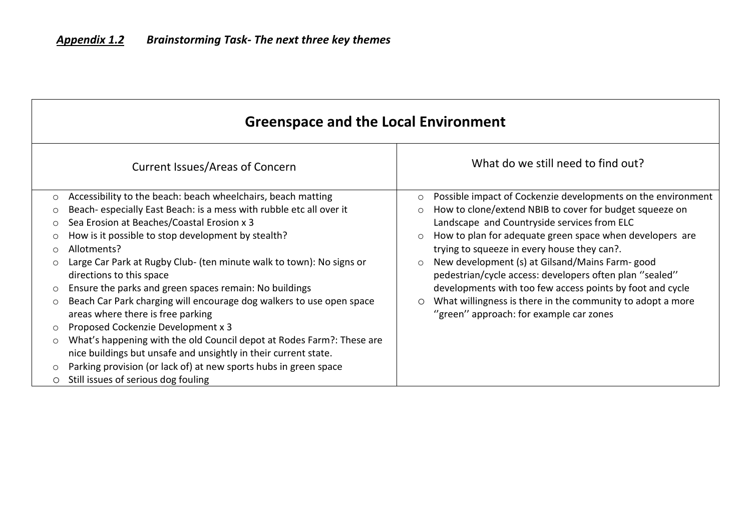|            | <b>Greenspace and the Local Environment</b>                                                               |                                                                                                                      |  |  |
|------------|-----------------------------------------------------------------------------------------------------------|----------------------------------------------------------------------------------------------------------------------|--|--|
|            | <b>Current Issues/Areas of Concern</b>                                                                    | What do we still need to find out?                                                                                   |  |  |
| $\circ$    | Accessibility to the beach: beach wheelchairs, beach matting                                              | Possible impact of Cockenzie developments on the environment<br>$\circ$                                              |  |  |
| $\circ$    | Beach-especially East Beach: is a mess with rubble etc all over it                                        | How to clone/extend NBIB to cover for budget squeeze on<br>$\circ$                                                   |  |  |
| $\circ$    | Sea Erosion at Beaches/Coastal Erosion x 3                                                                | Landscape and Countryside services from ELC                                                                          |  |  |
|            | How is it possible to stop development by stealth?                                                        | How to plan for adequate green space when developers are<br>$\circ$                                                  |  |  |
| $\bigcirc$ | Allotments?                                                                                               | trying to squeeze in every house they can?.                                                                          |  |  |
| $\circ$    | Large Car Park at Rugby Club- (ten minute walk to town): No signs or<br>directions to this space          | New development (s) at Gilsand/Mains Farm-good<br>$\circ$<br>pedestrian/cycle access: developers often plan "sealed" |  |  |
| $\circ$    | Ensure the parks and green spaces remain: No buildings                                                    | developments with too few access points by foot and cycle                                                            |  |  |
| $\circ$    | Beach Car Park charging will encourage dog walkers to use open space<br>areas where there is free parking | What willingness is there in the community to adopt a more<br>O<br>"green" approach: for example car zones           |  |  |
| $\circ$    | Proposed Cockenzie Development x 3                                                                        |                                                                                                                      |  |  |
| $\circ$    | What's happening with the old Council depot at Rodes Farm?: These are                                     |                                                                                                                      |  |  |
|            | nice buildings but unsafe and unsightly in their current state.                                           |                                                                                                                      |  |  |
| $\circ$    | Parking provision (or lack of) at new sports hubs in green space                                          |                                                                                                                      |  |  |
| O          | Still issues of serious dog fouling                                                                       |                                                                                                                      |  |  |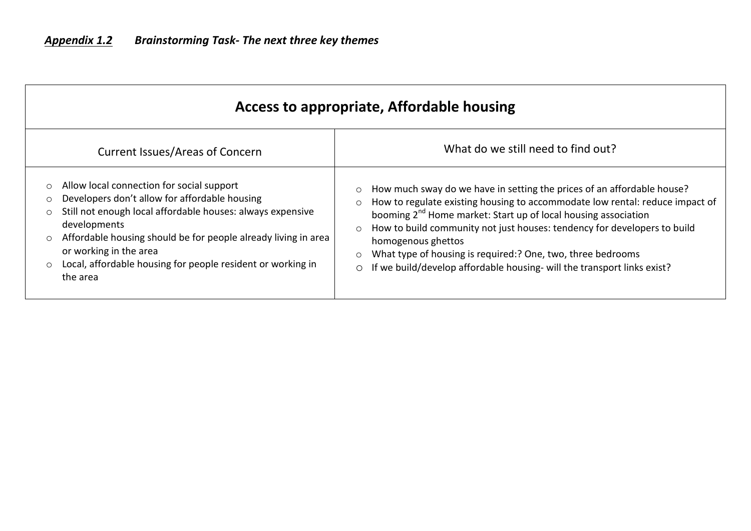| Access to appropriate, Affordable housing                                                                                                                                                                                                                                                                                                                                                        |                                                                                                                                                                                                                                                                                                                                                                                                                                                                                                                                         |  |  |  |
|--------------------------------------------------------------------------------------------------------------------------------------------------------------------------------------------------------------------------------------------------------------------------------------------------------------------------------------------------------------------------------------------------|-----------------------------------------------------------------------------------------------------------------------------------------------------------------------------------------------------------------------------------------------------------------------------------------------------------------------------------------------------------------------------------------------------------------------------------------------------------------------------------------------------------------------------------------|--|--|--|
| <b>Current Issues/Areas of Concern</b>                                                                                                                                                                                                                                                                                                                                                           | What do we still need to find out?                                                                                                                                                                                                                                                                                                                                                                                                                                                                                                      |  |  |  |
| Allow local connection for social support<br>$\circ$<br>Developers don't allow for affordable housing<br>O<br>Still not enough local affordable houses: always expensive<br>$\circ$<br>developments<br>Affordable housing should be for people already living in area<br>$\circ$<br>or working in the area<br>Local, affordable housing for people resident or working in<br>$\circ$<br>the area | How much sway do we have in setting the prices of an affordable house?<br>$\circ$<br>How to regulate existing housing to accommodate low rental: reduce impact of<br>$\circ$<br>booming 2 <sup>nd</sup> Home market: Start up of local housing association<br>How to build community not just houses: tendency for developers to build<br>$\circ$<br>homogenous ghettos<br>What type of housing is required:? One, two, three bedrooms<br>$\circ$<br>If we build/develop affordable housing- will the transport links exist?<br>$\circ$ |  |  |  |